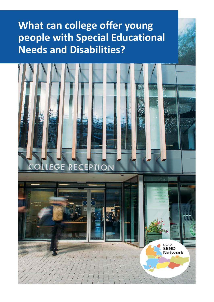# **What can college offer young people with Special Educational Needs and Disabilities?**

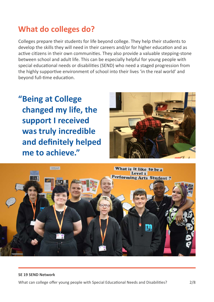### **What do colleges do?**

Colleges prepare their students for life beyond college. They help their students to develop the skills they will need in their careers and/or for higher education and as active citizens in their own communities. They also provide a valuable stepping-stone between school and adult life. This can be especially helpful for young people with special educational needs or disabilities (SEND) who need a staged progression from the highly supportive environment of school into their lives 'in the real world' and beyond full-time education.

**"Being at College changed my life, the support I received was truly incredible and definitely helped me to achieve."**



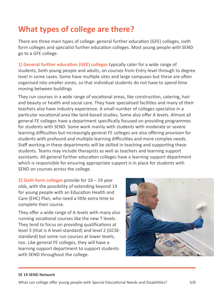### **What types of college are there?**

There are three main types of college: general further education (GFE) colleges, sixth form colleges and specialist further education colleges. Most young people with SEND go to a GFE college.

**1) General further education (GFE) colleges** typically cater for a wide range of students, both young people and adults, on courses from Entry level through to degree level in some cases. Some have multiple sites and large campuses but these are often organised into smaller zones, so that individual students do not have to spend time moving between buildings

They run courses in a wide range of vocational areas, like construction, catering, hair and beauty or health and social care. They have specialised facilities and many of their teachers also have industry experience. A small number of colleges specialise in a particular vocational area like land-based studies. Some also offer A levels. Almost all general FE colleges have a department specifically focused on providing programmes for students with SEND. Some work mainly with students with moderate or severe learning difficulties but increasingly general FE colleges are also offering provision for students with profound and multiple learning difficulties and more complex needs. Staff working in these departments will be skilled in teaching and supporting these students. Teams may include therapists as well as teachers and learning support assistants. All general further education colleges have a learning support department which is responsible for ensuring appropriate support is in place for students with SEND on courses across the college.

**2) Sixth form colleges** provide for 16 – 19 year olds, with the possibility of extending beyond 19 for young people with an Education Health and Care (EHC) Plan, who need a little extra time to complete their course.

They offer a wide range of A levels with many also running vocational courses like the new T levels. They tend to focus on providing qualifications at level 3 (that is A level-standard) and level 2 (GCSEstandard) but some run courses at lower levels, too. Like general FE colleges, they will have a learning support department to support students with SEND throughout the college.



#### **SE 19 SEND Network**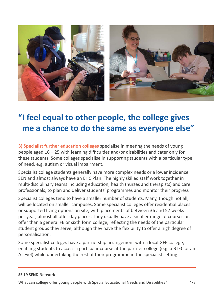

### **"I feel equal to other people, the college gives me a chance to do the same as everyone else"**

**3) Specialist further education colleges** specialise in meeting the needs of young people aged 16 – 25 with learning difficulties and/or disabilities and cater only for these students. Some colleges specialise in supporting students with a particular type of need, e.g. autism or visual impairment.

Specialist college students generally have more complex needs or a lower incidence SEN and almost always have an EHC Plan. The highly skilled staff work together in multi-disciplinary teams including education, health (nurses and therapists) and care professionals, to plan and deliver students' programmes and monitor their progress

Specialist colleges tend to have a smaller number of students. Many, though not all, will be located on smaller campuses. Some specialist colleges offer residential places or supported living options on site, with placements of between 36 and 52 weeks per year; almost all offer day places. They usually have a smaller range of courses on offer than a general FE or sixth form college, reflecting the needs of the particular student groups they serve, although they have the flexibility to offer a high degree of personalisation.

Some specialist colleges have a partnership arrangement with a local GFE college, enabling students to access a particular course at the partner college (e.g. a BTEC or an A level) while undertaking the rest of their programme in the specialist setting.

#### **SE 19 SEND Network**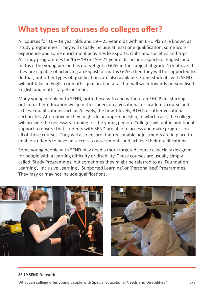### **What types of courses do colleges offer?**

All courses for  $16 - 19$  year olds and  $19 - 25$  year olds with an EHC Plan are known as 'study programmes'. They will usually include at least one qualification, some work experience and some enrichment activities like sports, clubs and societies and trips. All study programmes for  $16 - 19$  or  $19 - 25$  year olds include aspects of English and maths if the young person has not yet got a GCSE in the subject at grade 4 or above. If they are capable of achieving an English or maths GCSE, then they will be supported to do that, but other types of qualifications are also available. Some students with SEND will not take an English or maths qualification at all but will work towards personalised English and maths targets instead.

Many young people with SEND, both those with and without an EHC Plan, starting out in further education will join their peers on a vocational or academic course and achieve qualifications such as A levels, the new T levels, BTECs or other vocational certificates. Alternatively, they might do an apprenticeship, in which case, the college will provide the necessary training for the young person. Colleges will put in additional support to ensure that students with SEND are able to access and make progress on all of these courses. They will also ensure that reasonable adjustments are in place to enable students to have fair access to assessments and achieve their qualifications.

Some young people with SEND may need a more targeted course especially designed for people with a learning difficulty or disability. These courses are usually simply called 'Study Programmes' but sometimes they might be referred to as 'Foundation Learning', 'Inclusive Learning', 'Supported Learning' or 'Personalised' Programmes. They may or may not include qualifications.



#### **SE 19 SEND Network**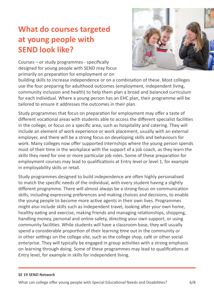### **What do courses targeted at young people with SEND look like?**

Courses – or study programmes - specifically designed for young people with SEND may focus primarily on preparation for employment or on



building skills to increase independence or on a combination of these. Most colleges use the four preparing for adulthood outcomes (employment, independent living, community inclusion and health) to help them plan a broad and balanced curriculum for each individual. Where a young person has an EHC plan, their programme will be tailored to ensure it addresses the outcomes in their plan.

Study programmes that focus on preparation for employment may offer a taste of different vocational areas with students able to access the different specialist facilities in the college, or focus on a specific area, such as hospitality and catering. They will include an element of work experience or work placement, usually with an external employer, and there will be a strong focus on developing skills and behaviours for work. Many colleges now offer supported internships where the young person spends most of their time in the workplace with the support of a job coach, as they learn the skills they need for one or more particular job roles. Some of these preparation for employment courses may lead to qualifications at Entry level or level 1, for example in employability skills or retail.

Study programmes designed to build independence are often highly personalised to match the specific needs of the individual, with every student having a slightly different programme. There will almost always be a strong focus on communication skills, including expressing preferences and making choices and decisions, to enable the young people to become more active agents in their own lives. Programmes might also include skills such as independent travel, looking after your own home, healthy eating and exercise, making friends and managing relationships, shopping, handling money, personal and online safety, directing your own support, or using community facilities. While students will have a classroom base, they will usually spend a considerable proportion of their learning time out in the community or in other settings on the college site, such as the college shop, café or other social enterprise. They will typically be engaged in group activities with a strong emphasis on learning through doing. Some of these programmes may lead to qualifications at Entry level, for example in skills for independent living.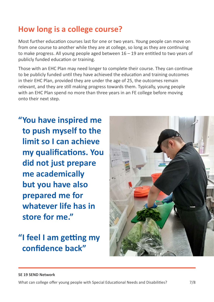### **How long is a college course?**

Most further education courses last for one or two years. Young people can move on from one course to another while they are at college, so long as they are continuing to make progress. All young people aged between 16 – 19 are entitled to two years of publicly funded education or training.

Those with an EHC Plan may need longer to complete their course. They can continue to be publicly funded until they have achieved the education and training outcomes in their EHC Plan, provided they are under the age of 25, the outcomes remain relevant, and they are still making progress towards them. Typically, young people with an EHC Plan spend no more than three years in an FE college before moving onto their next step.

**"You have inspired me to push myself to the limit so I can achieve my qualifications. You did not just prepare me academically but you have also prepared me for whatever life has in store for me."**

## **"I feel I am getting my confidence back"**